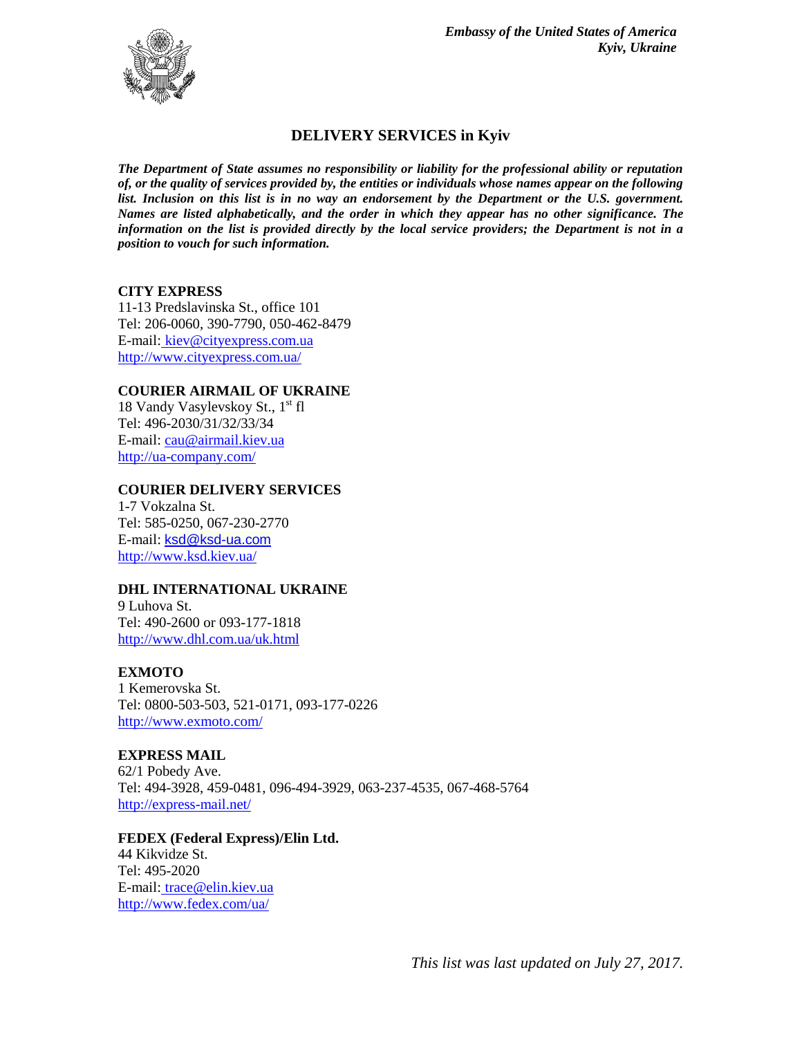

# **DELIVERY SERVICES in Kyiv**

*The Department of State assumes no responsibility or liability for the professional ability or reputation of, or the quality of services provided by, the entities or individuals whose names appear on the following*  list. Inclusion on this list is in no way an endorsement by the Department or the U.S. government. *Names are listed alphabetically, and the order in which they appear has no other significance. The information on the list is provided directly by the local service providers; the Department is not in a position to vouch for such information.*

### **CITY EXPRESS**

11-13 Predslavinska St., office 101 Tel: 206-0060, 390-7790, 050-462-8479 E-mail: [kiev@cityexpress.com.ua](mailto:kiev@cityexpress.com.ua) <http://www.cityexpress.com.ua/>

### **COURIER AIRMAIL OF UKRAINE**

18 Vandy Vasylevskoy St.,  $1<sup>st</sup>$  fl Tel: 496-2030/31/32/33/34 E-mail[: cau@airmail.kiev.ua](mailto:cau@airmail.kiev.ua) <http://ua-company.com/>

### **COURIER DELIVERY SERVICES**

1-7 Vokzalna St. Tel: 585-0250, 067-230-2770 E-mail: [ksd@ksd-ua.com](mailto:ksd@ksd-ua.com) <http://www.ksd.kiev.ua/>

### **DHL INTERNATIONAL UKRAINE**

9 Luhova St. Tel: 490-2600 or 093-177-1818 <http://www.dhl.com.ua/uk.html>

### **EXMOTO**

1 Kemerovska St. Tel: 0800-503-503, 521-0171, 093-177-0226 <http://www.exmoto.com/>

### **EXPRESS MAIL**

62/1 Pobedy Ave. Tel: 494-3928, 459-0481, 096-494-3929, 063-237-4535, 067-468-5764 <http://express-mail.net/>

### **FEDEX (Federal Express)/Elin Ltd.**

44 Kikvidze St. Tel: 495-2020 E-mail: trace@elin.kiev.ua <http://www.fedex.com/ua/>